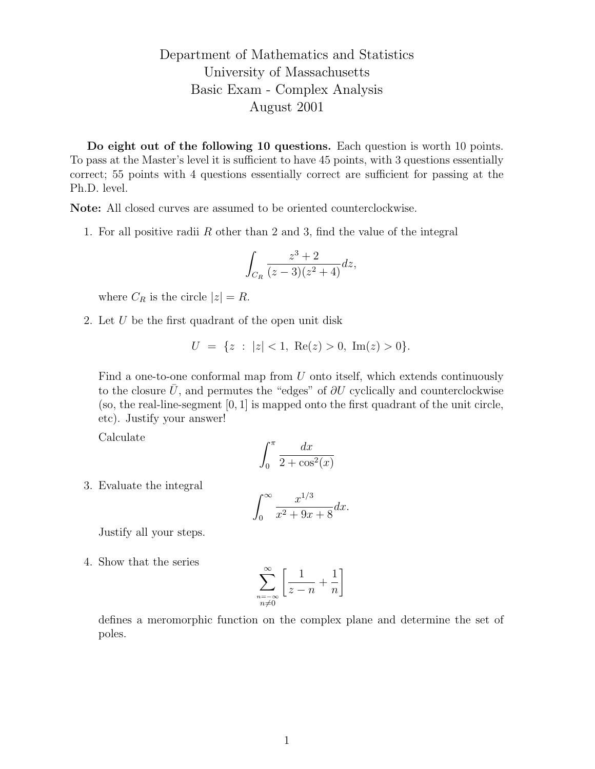## Department of Mathematics and Statistics University of Massachusetts Basic Exam - Complex Analysis August 2001

Do eight out of the following 10 questions. Each question is worth 10 points. To pass at the Master's level it is sufficient to have 45 points, with 3 questions essentially correct; 55 points with 4 questions essentially correct are sufficient for passing at the Ph.D. level.

Note: All closed curves are assumed to be oriented counterclockwise.

1. For all positive radii R other than 2 and 3, find the value of the integral

$$
\int_{C_R} \frac{z^3 + 2}{(z - 3)(z^2 + 4)} dz,
$$

where  $C_R$  is the circle  $|z| = R$ .

2. Let  $U$  be the first quadrant of the open unit disk

$$
U = \{ z : |z| < 1, \, \text{Re}(z) > 0, \, \text{Im}(z) > 0 \}.
$$

Find a one-to-one conformal map from  $U$  onto itself, which extends continuously to the closure  $\bar{U}$ , and permutes the "edges" of  $\partial U$  cyclically and counterclockwise (so, the real-line-segment  $[0, 1]$  is mapped onto the first quadrant of the unit circle, etc). Justify your answer!

Calculate

$$
\int_0^\pi \frac{dx}{2 + \cos^2(x)}
$$

3. Evaluate the integral

$$
\int_0^\infty \frac{x^{1/3}}{x^2 + 9x + 8} dx.
$$

Justify all your steps.

4. Show that the series

$$
\sum_{\substack{n=-\infty\\n\neq 0}}^{\infty} \left[ \frac{1}{z-n} + \frac{1}{n} \right]
$$

defines a meromorphic function on the complex plane and determine the set of poles.